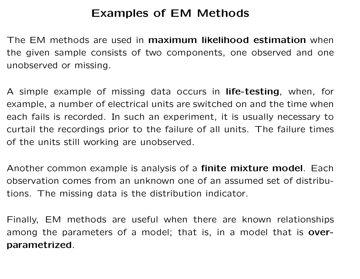### Examples of EM Methods

The EM methods are used in maximum likelihood estimation when the given sample consists of two components, one observed and one unobserved or missing.

A simple example of missing data occurs in **life-testing**, when, for example, a number of electrical units are switched on and the time when each fails is recorded. In such an experiment, it is usually necessary to curtail the recordings prior to the failure of all units. The failure times of the units still working are unobserved.

Another common example is analysis of a finite mixture model. Each observation comes from an unknown one of an assumed set of distributions. The missing data is the distribution indicator.

Finally, EM methods are useful when there are known relationships among the parameters of a model; that is, in a model that is **over**parametrized.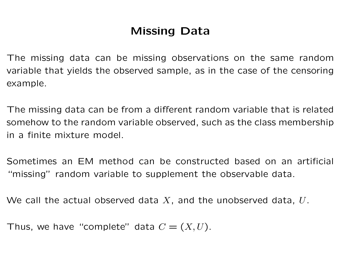## Missing Data

The missing data can be missing observations on the same random variable that yields the observed sample, as in the case of the censoring example.

The missing data can be from a different random variable that is related somehow to the random variable observed, such as the class membership in a finite mixture model.

Sometimes an EM method can be constructed based on an artificial "missing" random variable to supplement the observable data.

We call the actual observed data  $X$ , and the unobserved data,  $U$ .

Thus, we have "complete" data  $C = (X, U)$ .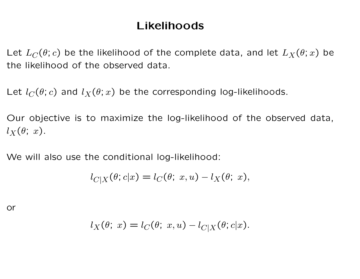### Likelihoods

Let  $L_C(\theta; c)$  be the likelihood of the complete data, and let  $L_X(\theta; x)$  be the likelihood of the observed data.

Let  $l_C(\theta; c)$  and  $l_X(\theta; x)$  be the corresponding log-likelihoods.

Our objective is to maximize the log-likelihood of the observed data,  $l_X(\theta; x)$ .

We will also use the conditional log-likelihood:

$$
l_{C|X}(\theta; c|x) = l_C(\theta; x, u) - l_X(\theta; x),
$$

or

$$
l_X(\theta; x) = l_C(\theta; x, u) - l_{C|X}(\theta; c|x).
$$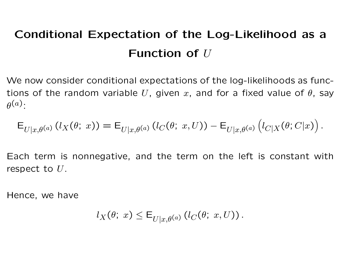# Conditional Expectation of the Log-Likelihood as a Function of  $U$

We now consider conditional expectations of the log-likelihoods as functions of the random variable U, given x, and for a fixed value of  $\theta$ , say  $\theta^{(a)}$ :

$$
\mathsf{E}_{U|x,\theta^{(a)}}(l_X(\theta; x)) = \mathsf{E}_{U|x,\theta^{(a)}}(l_C(\theta; x,U)) - \mathsf{E}_{U|x,\theta^{(a)}}(l_{C|X}(\theta;C|x)).
$$

Each term is nonnegative, and the term on the left is constant with respect to  $U$ .

Hence, we have

$$
l_X(\theta; x) \leq \mathsf{E}_{U|x,\theta^{(a)}}\left(l_C(\theta; x,U)\right).
$$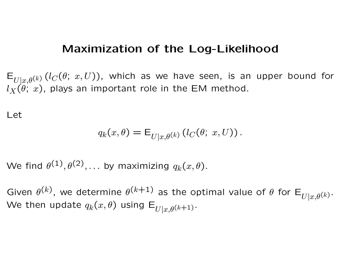#### Maximization of the Log-Likelihood

 $E_{U|x,\theta^{(k)}}(l_C(\theta; x,U))$ , which as we have seen, is an upper bound for  $l_X(\theta; x)$ , plays an important role in the EM method.

Let

$$
q_k(x,\theta) = \mathsf{E}_{U|x,\theta^{(k)}}(l_C(\theta; x,U)).
$$

We find  $\theta^{(1)}, \theta^{(2)}, \ldots$  by maximizing  $q_k(x,\theta).$ 

Given  $\theta^{(k)}$ , we determine  $\theta^{(k+1)}$  as the optimal value of  $\theta$  for  $\mathsf{E}_{U|x,\theta^{(k)}}$ . We then update  $q_k(x, \theta)$  using  $E_{U|x, \theta^{(k+1)}}$ .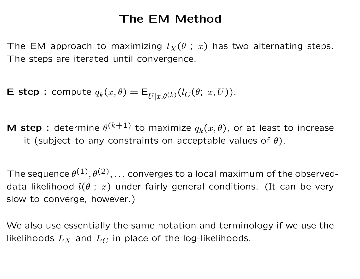### The EM Method

The EM approach to maximizing  $l_X(\theta ; x)$  has two alternating steps. The steps are iterated until convergence.

**E step**: compute  $q_k(x, \theta) = \mathsf{E}_{U|x, \theta^{(k)}}(l_C(\theta; x, U)).$ 

M step : determine  $\theta^{(k+1)}$  to maximize  $q_k(x,\theta)$ , or at least to increase it (subject to any constraints on acceptable values of  $\theta$ ).

The sequence  $\theta^{(\mathbf{1})}, \theta^{(\mathbf{2})}, \ldots$  converges to a local maximum of the observeddata likelihood  $l(\theta \, ; \, x)$  under fairly general conditions. (It can be very slow to converge, however.)

We also use essentially the same notation and terminology if we use the likelihoods  $L_X$  and  $L_C$  in place of the log-likelihoods.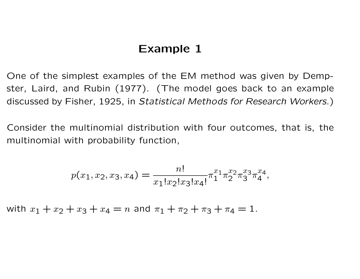#### Example 1

One of the simplest examples of the EM method was given by Dempster, Laird, and Rubin (1977). (The model goes back to an example discussed by Fisher, 1925, in Statistical Methods for Research Workers.)

Consider the multinomial distribution with four outcomes, that is, the multinomial with probability function,

$$
p(x_1, x_2, x_3, x_4) = \frac{n!}{x_1! x_2! x_3! x_4!} \pi_1^{x_1} \pi_2^{x_2} \pi_3^{x_3} \pi_4^{x_4},
$$

with  $x_1 + x_2 + x_3 + x_4 = n$  and  $\pi_1 + \pi_2 + \pi_3 + \pi_4 = 1$ .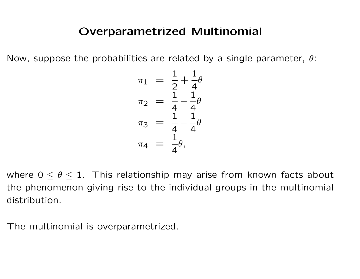Now, suppose the probabilities are related by a single parameter,  $\theta$ :

$$
\pi_1 = \frac{1}{2} + \frac{1}{4}\theta
$$
  
\n
$$
\pi_2 = \frac{1}{4} - \frac{1}{4}\theta
$$
  
\n
$$
\pi_3 = \frac{1}{4} - \frac{1}{4}\theta
$$
  
\n
$$
\pi_4 = \frac{1}{4}\theta
$$

where  $0 \le \theta \le 1$ . This relationship may arise from known facts about the phenomenon giving rise to the individual groups in the multinomial distribution.

The multinomial is overparametrized.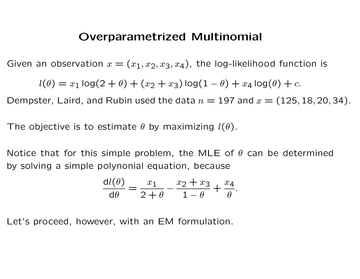Given an observation  $x = (x_1, x_2, x_3, x_4)$ , the log-likelihood function is

$$
l(\theta) = x_1 \log(2 + \theta) + (x_2 + x_3) \log(1 - \theta) + x_4 \log(\theta) + c.
$$

Dempster, Laird, and Rubin used the data  $n = 197$  and  $x = (125, 18, 20, 34)$ .

The objective is to estimate  $\theta$  by maximizing  $l(\theta)$ .

Notice that for this simple problem, the MLE of  $\theta$  can be determined by solving a simple polynonial equation, because

$$
\frac{\mathrm{d}l(\theta)}{\mathrm{d}\theta} = \frac{x_1}{2+\theta} - \frac{x_2 + x_3}{1-\theta} + \frac{x_4}{\theta}.
$$

Let's proceed, however, with an EM formulation.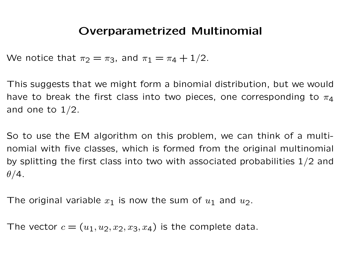We notice that  $\pi_2 = \pi_3$ , and  $\pi_1 = \pi_4 + 1/2$ .

This suggests that we might form a binomial distribution, but we would have to break the first class into two pieces, one corresponding to  $\pi_4$ and one to  $1/2$ .

So to use the EM algorithm on this problem, we can think of a multinomial with five classes, which is formed from the original multinomial by splitting the first class into two with associated probabilities  $1/2$  and  $\theta/4$ .

The original variable  $x_1$  is now the sum of  $u_1$  and  $u_2$ .

The vector  $c = (u_1, u_2, x_2, x_3, x_4)$  is the complete data.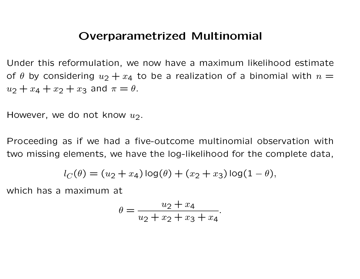Under this reformulation, we now have a maximum likelihood estimate of  $\theta$  by considering  $u_2 + x_4$  to be a realization of a binomial with  $n =$  $u_2 + x_4 + x_2 + x_3$  and  $\pi = \theta$ .

However, we do not know  $u_2$ .

Proceeding as if we had a five-outcome multinomial observation with two missing elements, we have the log-likelihood for the complete data,

$$
l_C(\theta) = (u_2 + x_4) \log(\theta) + (x_2 + x_3) \log(1 - \theta),
$$

which has a maximum at

$$
\theta = \frac{u_2 + x_4}{u_2 + x_2 + x_3 + x_4}.
$$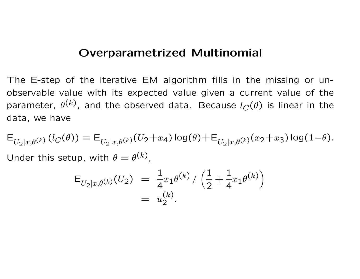The E-step of the iterative EM algorithm fills in the missing or unobservable value with its expected value given a current value of the parameter,  $\theta^{(k)}$ , and the observed data. Because  $l_C(\theta)$  is linear in the data, we have

 $E_{U_2|x,\theta^{(k)}}(l_C(\theta)) = E_{U_2|x,\theta^{(k)}}(U_2+x_4) \log(\theta) + E_{U_2|x,\theta^{(k)}}(x_2+x_3) \log(1-\theta).$ Under this setup, with  $\theta = \theta^{(k)}$ ,

$$
\mathsf{E}_{U_2|x,\theta^{(k)}}(U_2) = \frac{1}{4}x_1\theta^{(k)} / \left(\frac{1}{2} + \frac{1}{4}x_1\theta^{(k)}\right)
$$
  
=  $u_2^{(k)}$ .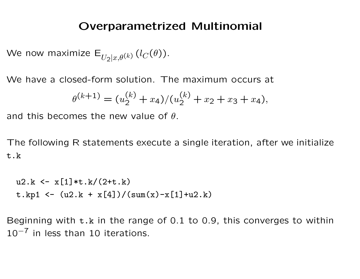We now maximize  $E_{U_2|x,\theta^{(k)}}(l_C(\theta))$ .

We have a closed-form solution. The maximum occurs at

$$
\theta^{(k+1)} = (u_2^{(k)} + x_4)/(u_2^{(k)} + x_2 + x_3 + x_4),
$$

and this becomes the new value of  $\theta$ .

The following R statements execute a single iteration, after we initialize t.k

```
u2.k \leftarrow x[1]*t.k/(2+t.k)t.kp1 <- ( u2.k + x[4] ) / (sum(x) - x[1] + u2.k)
```
Beginning with t.k in the range of 0.1 to 0.9, this converges to within  $10^{-7}$  in less than 10 iterations.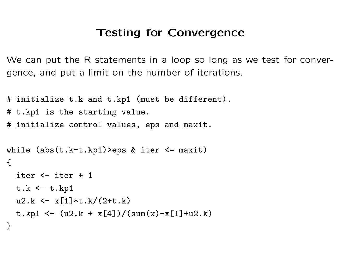### Testing for Convergence

We can put the R statements in a loop so long as we test for convergence, and put a limit on the number of iterations.

```
# initialize t.k and t.kp1 (must be different).
# t.kp1 is the starting value.
# initialize control values, eps and maxit.
```

```
while (abs(t.k-t.kp1)>eps & iter <= maxit)
\left\{ \right.iter <- iter + 1
  t.k < -t.kp1u2.k \leftarrow x[1]*t.k/(2+t.k)
  t.kp1 <- ( u2.k + x[4] ) / (sum(x) - x[1] + u2.k)}
```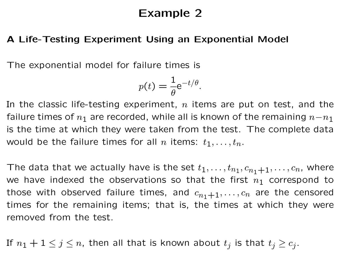### Example 2

#### A Life-Testing Experiment Using an Exponential Model

The exponential model for failure times is

$$
p(t) = \frac{1}{\theta} e^{-t/\theta}.
$$

In the classic life-testing experiment,  $n$  items are put on test, and the failure times of  $n_1$  are recorded, while all is known of the remaining  $n-n_1$ is the time at which they were taken from the test. The complete data would be the failure times for all *n* items:  $t_1, \ldots, t_n$ .

The data that we actually have is the set  $t_1,\ldots,t_{n_1},c_{n_1+1},\ldots,c_n$ , where we have indexed the observations so that the first  $n_1$  correspond to those with observed failure times, and  $c_{n_1+1}, \ldots, c_n$  are the censored times for the remaining items; that is, the times at which they were removed from the test.

If  $n_1+1\leq j\leq n,$  then all that is known about  $t_j$  is that  $t_j\geq c_j.$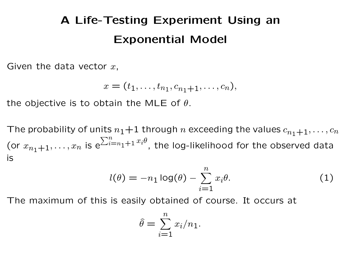# A Life-Testing Experiment Using an Exponential Model

Given the data vector  $x$ ,

$$
x=(t_1,\ldots,t_{n_1},c_{n_1+1},\ldots,c_n),
$$

the objective is to obtain the MLE of  $\theta$ .

The probability of units  $n_1+1$  through n exceeding the values  $c_{n_1+1}, \ldots, c_n$ (or  $x_{n_1+1}, \ldots, x_n$  is e  $\sum_{i=n_1+1}^{n} x_i \theta$ , the log-likelihood for the observed data is

$$
l(\theta) = -n_1 \log(\theta) - \sum_{i=1}^n x_i \theta.
$$
 (1)

The maximum of this is easily obtained of course. It occurs at

$$
\hat{\theta} = \sum_{i=1}^{n} x_i / n_1.
$$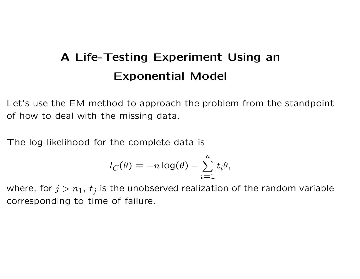# A Life-Testing Experiment Using an Exponential Model

Let's use the EM method to approach the problem from the standpoint of how to deal with the missing data.

The log-likelihood for the complete data is

$$
l_C(\theta) = -n \log(\theta) - \sum_{i=1}^n t_i \theta,
$$

where, for  $j > n_1$ ,  $t_j$  is the unobserved realization of the random variable corresponding to time of failure.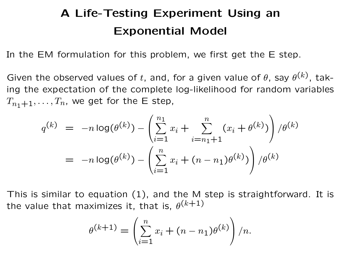## A Life-Testing Experiment Using an Exponential Model

In the EM formulation for this problem, we first get the E step.

Given the observed values of t, and, for a given value of  $\theta$ , say  $\theta^{(k)}$ , taking the expectation of the complete log-likelihood for random variables  $T_{n_1+1}, \ldots, T_n$ , we get for the E step,

$$
q^{(k)} = -n \log(\theta^{(k)}) - \left(\sum_{i=1}^{n_1} x_i + \sum_{i=n_1+1}^n (x_i + \theta^{(k)})\right) / \theta^{(k)}
$$
  
= 
$$
-n \log(\theta^{(k)}) - \left(\sum_{i=1}^n x_i + (n - n_1)\theta^{(k)})\right) / \theta^{(k)}
$$

This is similar to equation (1), and the M step is straightforward. It is the value that maximizes it, that is,  $\theta^{(k+1)}$ 

$$
\theta^{(k+1)} = \left(\sum_{i=1}^{n} x_i + (n - n_1)\theta^{(k)}\right) / n.
$$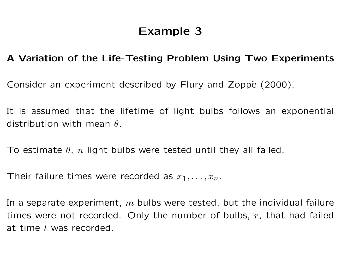## Example 3

#### A Variation of the Life-Testing Problem Using Two Experiments

Consider an experiment described by Flury and Zoppè (2000).

It is assumed that the lifetime of light bulbs follows an exponential distribution with mean  $\theta$ .

To estimate  $\theta$ , n light bulbs were tested until they all failed.

Their failure times were recorded as  $x_1, \ldots, x_n$ .

In a separate experiment,  $m$  bulbs were tested, but the individual failure times were not recorded. Only the number of bulbs,  $r$ , that had failed at time t was recorded.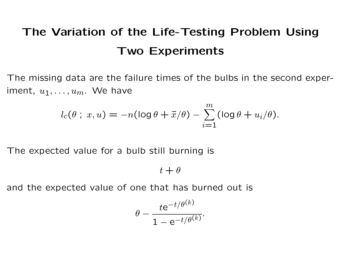The missing data are the failure times of the bulbs in the second experiment,  $u_1, \ldots, u_m$ . We have

$$
l_c(\theta \; ; \; x, u) = -n(\log \theta + \bar{x}/\theta) - \sum_{i=1}^m (\log \theta + u_i/\theta).
$$

The expected value for a bulb still burning is

 $t + \theta$ 

and the expected value of one that has burned out is

$$
\theta - \frac{t e^{-t/\theta^{(k)}}}{1 - e^{-t/\theta^{(k)}}}.
$$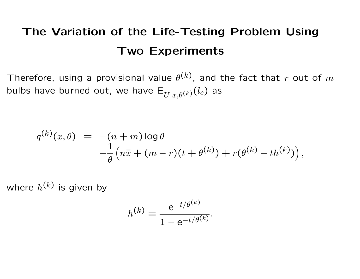Therefore, using a provisional value  $\theta^{(k)}$ , and the fact that  $r$  out of  $m$ bulbs have burned out, we have  $E_{U|x,\theta^{(k)}}(l_c)$  as

$$
q^{(k)}(x,\theta) = -(n+m)\log\theta -\frac{1}{\theta}\left(n\bar{x} + (m-r)(t+\theta^{(k)}) + r(\theta^{(k)} - th^{(k)})\right),
$$

where  $h^{\left(k\right)}$  is given by

$$
h^{(k)} = \frac{e^{-t/\theta^{(k)}}}{1 - e^{-t/\theta^{(k)}}}.
$$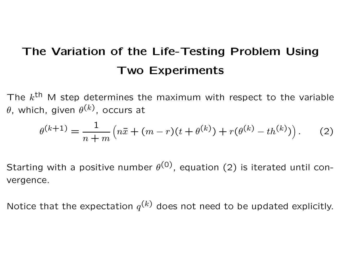The  $k^{\text{th}}$  M step determines the maximum with respect to the variable  $\theta$ , which, given  $\theta^{(k)}$ , occurs at

$$
\theta^{(k+1)} = \frac{1}{n+m} \left( n\bar{x} + (m-r)(t+\theta^{(k)}) + r(\theta^{(k)} - th^{(k)}) \right). \tag{2}
$$

Starting with a positive number  $\theta^{(0)}$ , equation (2) is iterated until convergence.

Notice that the expectation  $q^{(k)}$  does not need to be updated explicitly.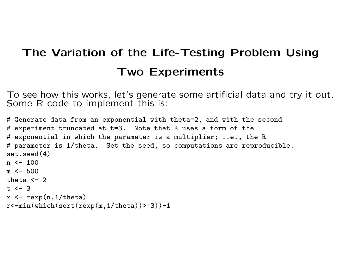To see how this works, let's generate some artificial data and try it out. Some R code to implement this is:

```
# Generate data from an exponential with theta=2, and with the second
# experiment truncated at t=3. Note that R uses a form of the
# exponential in which the parameter is a multiplier; i.e., the R
# parameter is 1/theta. Set the seed, so computations are reproducible.
set.seed(4)
n \le -100m \le -500theta \leftarrow 2
t \le -3x \leftarrow \text{resp}(n, 1/\text{theta})r <-min(which(sort(rexp(m,1/theta))>=3))-1
```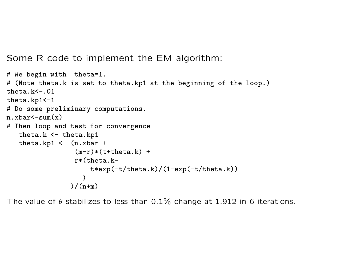Some R code to implement the EM algorithm:

```
# We begin with theta=1.
# (Note theta.k is set to theta.kp1 at the beginning of the loop.)
theta.k<-.01
theta.kp1<-1
# Do some preliminary computations.
n.xbar < -sum(x)# Then loop and test for convergence
   theta.k <- theta.kp1
   theta.kp1 \leftarrow (n.xbar +
                  (m-r)*(t+theta+a.k) +r*(theta.k-
                      t*exp(-t/theta.k)/(1-exp(-t/theta.k))
                    \lambda)/(n+m)
```
The value of  $\theta$  stabilizes to less than 0.1% change at 1.912 in 6 iterations.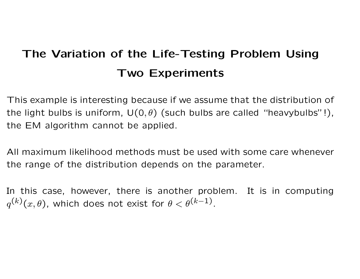This example is interesting because if we assume that the distribution of the light bulbs is uniform,  $U(0, \theta)$  (such bulbs are called "heavybulbs"!), the EM algorithm cannot be applied.

All maximum likelihood methods must be used with some care whenever the range of the distribution depends on the parameter.

In this case, however, there is another problem. It is in computing  $q^{(k)}(x,\theta)$ , which does not exist for  $\theta<\theta^{(k-1)}.$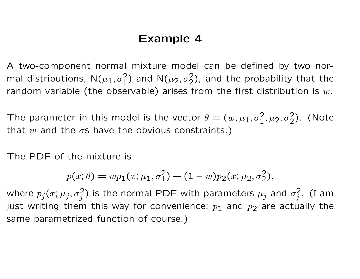### Example 4

A two-component normal mixture model can be defined by two normal distributions,  $\mathsf{N}(\mu_1, \sigma_1^2)$  and  $\mathsf{N}(\mu_2, \sigma_2^2)$ , and the probability that the random variable (the observable) arises from the first distribution is  $w$ .

The parameter in this model is the vector  $\theta = (w, \mu_1, \sigma_1^2, \mu_2, \sigma_2^2)$ . (Note that w and the  $\sigma s$  have the obvious constraints.)

The PDF of the mixture is

$$
p(x; \theta) = wp_1(x; \mu_1, \sigma_1^2) + (1 - w)p_2(x; \mu_2, \sigma_2^2),
$$

where  $p_j (x; \mu_j, \sigma_j^2)$  is the normal PDF with parameters  $\mu_j$  and  $\sigma_j^2$  $\frac{2}{j}$ . (I am just writing them this way for convenience;  $p_1$  and  $p_2$  are actually the same parametrized function of course.)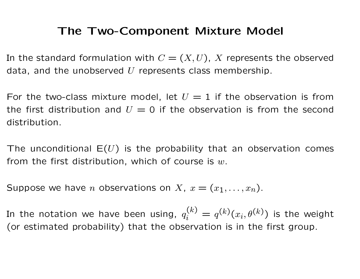### The Two-Component Mixture Model

In the standard formulation with  $C = (X, U)$ , X represents the observed data, and the unobserved  $U$  represents class membership.

For the two-class mixture model, let  $U = 1$  if the observation is from the first distribution and  $U = 0$  if the observation is from the second distribution.

The unconditional  $E(U)$  is the probability that an observation comes from the first distribution, which of course is  $w$ .

Suppose we have *n* observations on *X*,  $x = (x_1, \ldots, x_n)$ .

In the notation we have been using,  $q_i^{(k)}=q^{(k)}(x_i,\theta^{(k)})$  is the weight (or estimated probability) that the observation is in the first group.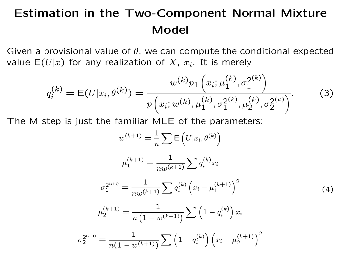## Estimation in the Two-Component Normal Mixture Model

Given a provisional value of  $\theta$ , we can compute the conditional expected value  $\mathsf{E}(U|x)$  for any realization of  $X,~x_i.$  It is merely

$$
q_i^{(k)} = E(U|x_i, \theta^{(k)}) = \frac{w^{(k)}p_1\left(x_i; \mu_1^{(k)}, \sigma_1^{2^{(k)}}\right)}{p\left(x_i; w^{(k)}, \mu_1^{(k)}, \sigma_1^{2^{(k)}}, \mu_2^{2^{(k)}}, \sigma_2^{2^{(k)}}\right)}.
$$
(3)

The M step is just the familiar MLE of the parameters:

$$
w^{(k+1)} = \frac{1}{n} \sum \mathbf{E} (U|x_i, \theta^{(k)})
$$

$$
\mu_1^{(k+1)} = \frac{1}{nw^{(k+1)}} \sum q_i^{(k)} x_i
$$

$$
\sigma_1^{2^{(k+1)}} = \frac{1}{nw^{(k+1)}} \sum q_i^{(k)} (x_i - \mu_1^{(k+1)})^2
$$

$$
\mu_2^{(k+1)} = \frac{1}{n (1 - w^{(k+1)})} \sum (1 - q_i^{(k)}) x_i
$$

$$
\sigma_2^{2^{(k+1)}} = \frac{1}{n (1 - w^{(k+1)})} \sum (1 - q_i^{(k)}) (x_i - \mu_2^{(k+1)})^2
$$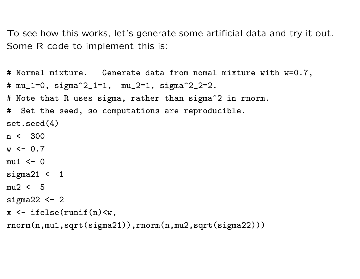To see how this works, let's generate some artificial data and try it out. Some R code to implement this is:

```
# Normal mixture. Generate data from nomal mixture with w=0.7,
# mu_1=0, sigma^2_1=1, mu_2=1, sigma^2_2=2.
# Note that R uses sigma, rather than sigma^2 in rnorm.
# Set the seed, so computations are reproducible.
set.seed(4)
n \le -300w \le -0.7mu1 \leftarrow 0sigma21 <-1mu2 \leq 5
sigma22 <-2x \leftarrow ifelse(runif(n)\left\langle w\right\ranglernorm(n,mu1,sqrt(sigma21)),rnorm(n,mu2,sqrt(sigma22)))
```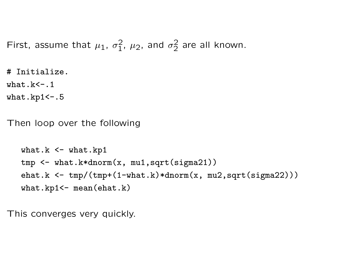First, assume that  $\mu_1$ ,  $\sigma_1^2$  $\frac{2}{1}$ ,  $\mu_2$ , and  $\sigma_2^2$  $\frac{2}{2}$  are all known.

# Initialize.

what.k $\leftarrow$ .1

what.kp $1$  <  $-$ .5

Then loop over the following

```
what.k \leq what.kp1
tmp <- what.k*dnorm(x, mu1,sqrt(sigma21))
ehat.k \leftarrow \text{tmp}/(\text{tmp}+(1-\text{what.k})*\text{dnorm}(x, mu2,\text{sqrt}(signal2)))what.kp1 <- mean(ehat.k)
```
This converges very quickly.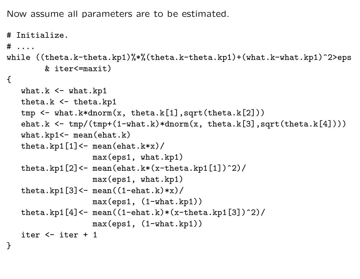Now assume all parameters are to be estimated.

```
# Initialize.
# ....
while ((theta.k-theta.kp1)%*%(theta.k-theta.kp1)+(what.k-what.kp1)^2>eps
        & iter<=maxit)
\left\{ \right.what.k \leq what.kp1
   theta.k \leq theta.kp1
   tmp \leftarrow what.k*dnorm(x, theta.k[1], sqrt(theta.k[2]))ehat.k \leq tmp/(tmp+(1-what.k)*dnorm(x, theta.k[3],sqrt(theta.k[4])))
   what.kp1<-\text{mean}(\text{ehat.k})theta.kp1[1] <- mean(ehat.k*x)/
                   max(eps1, what.kp1)
   theta.kp1[2] <- mean(ehat.k*(x-theta.kp1[1])^2)/
                   max(eps1, what.kp1)
   theta.kp1[3] <- mean((1-ehat.k)*x)/
                   max(eps1, (1-what.kp1))
   theta.kp1[4] <- mean((1-ehat.k)*(x-theta.kp1[3])^2)/
                   max(eps1, (1-what.kp1))
   iter <- iter + 1
}
```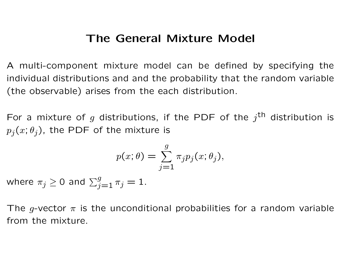### The General Mixture Model

A multi-component mixture model can be defined by specifying the individual distributions and and the probability that the random variable (the observable) arises from the each distribution.

For a mixture of g distributions, if the PDF of the  $j^{\text{th}}$  distribution is  $p_j(x; \theta_j)$ , the PDF of the mixture is

$$
p(x; \theta) = \sum_{j=1}^{g} \pi_j p_j(x; \theta_j),
$$

where  $\pi_j \geq 0$  and  $\sum_{j=1}^g \pi_j = 1$ .

The g-vector  $\pi$  is the unconditional probabilities for a random variable from the mixture.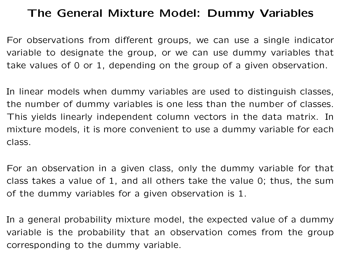### The General Mixture Model: Dummy Variables

For observations from different groups, we can use a single indicator variable to designate the group, or we can use dummy variables that take values of 0 or 1, depending on the group of a given observation.

In linear models when dummy variables are used to distinguish classes, the number of dummy variables is one less than the number of classes. This yields linearly independent column vectors in the data matrix. In mixture models, it is more convenient to use a dummy variable for each class.

For an observation in a given class, only the dummy variable for that class takes a value of 1, and all others take the value 0; thus, the sum of the dummy variables for a given observation is 1.

In a general probability mixture model, the expected value of a dummy variable is the probability that an observation comes from the group corresponding to the dummy variable.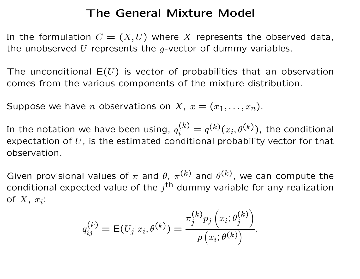### The General Mixture Model

In the formulation  $C = (X, U)$  where X represents the observed data, the unobserved U represents the  $q$ -vector of dummy variables.

The unconditional  $E(U)$  is vector of probabilities that an observation comes from the various components of the mixture distribution.

Suppose we have *n* observations on *X*,  $x = (x_1, \ldots, x_n)$ .

In the notation we have been using,  $q_{i}^{(k)}=q^{(k)}(x_{i},\theta^{(k)}),$  the conditional expectation of  $U$ , is the estimated conditional probability vector for that observation.

Given provisional values of  $\pi$  and  $\theta$ ,  $\pi^{(k)}$  and  $\theta^{(k)}$ , we can compute the conditional expected value of the  $j^{\text{th}}$  dummy variable for any realization of  $X$ ,  $x_i$ :

$$
q_{ij}^{(k)} = \mathsf{E}(U_j|x_i, \theta^{(k)}) = \frac{\pi_j^{(k)} p_j\left(x_i; \theta_j^{(k)}\right)}{p\left(x_i; \theta^{(k)}\right)}.
$$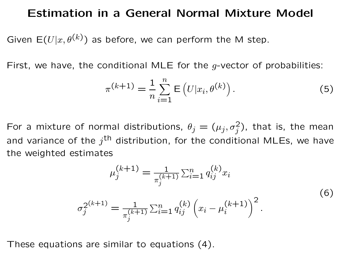#### Estimation in a General Normal Mixture Model

Given  $E(U|x, \theta^{(k)})$  as before, we can perform the M step.

First, we have, the conditional MLE for the  $g$ -vector of probabilities:

$$
\pi^{(k+1)} = \frac{1}{n} \sum_{i=1}^{n} \mathsf{E}\left(U|x_i, \theta^{(k)}\right). \tag{5}
$$

For a mixture of normal distributions,  $\theta_j = (\mu_j, \sigma_j^2)$ , that is, the mean and variance of the  $j^{\mathsf{th}}$  distribution, for the conditional MLEs, we have the weighted estimates

$$
\mu_j^{(k+1)} = \frac{1}{\pi_j^{(k+1)}} \sum_{i=1}^n q_{ij}^{(k)} x_i
$$
\n
$$
\sigma_j^{2^{(k+1)}} = \frac{1}{\pi_j^{(k+1)}} \sum_{i=1}^n q_{ij}^{(k)} \left( x_i - \mu_i^{(k+1)} \right)^2.
$$
\n(6)

These equations are similar to equations (4).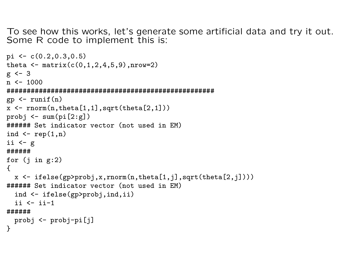To see how this works, let's generate some artificial data and try it out. Some R code to implement this is:

```
pi \leq c(0.2,0.3,0.5)
theta \leq matrix(c(0,1,2,4,5,9), nrow=2)
g \leftarrow 3n \le -1000####################################################
gp \leftarrow runif(n)x \leftarrow \text{rnorm}(n,\text{theta}[1,1], \text{sqrt}(\text{theta}[2,1]))probj \leq sum(pi[2:g])
###### Set indicator vector (not used in EM)
ind \leftarrow \text{rep}(1,n)ii \leftarrow g
######
for (j in g:2)\left\{ \right.x \leftarrow ifelse(gp>probj,x,rnorm(n,theta[1,j],sqrt(theta[2,j])))
###### Set indicator vector (not used in EM)
  ind <- ifelse(gp>probj,ind,ii)
  ii \leftarrow ii-1######
  probj <- probj-pi[j]
}
```